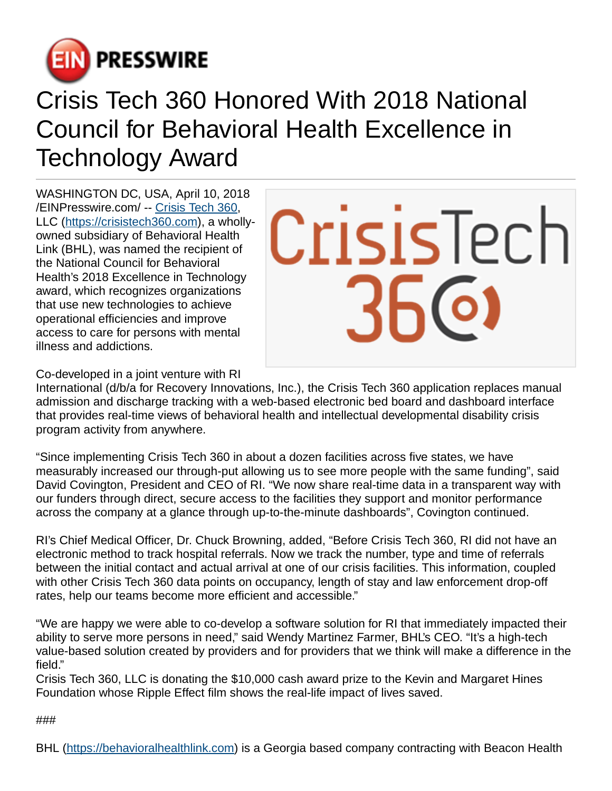

## Crisis Tech 360 Honored With 2018 National Council for Behavioral Health Excellence in Technology Award

WASHINGTON DC, USA, April 10, 2018 [/EINPresswire.com](http://www.einpresswire.com)/ -- [Crisis Tech 360,](https://www.youtube.com/watch?v=abHz5EazTK8) LLC [\(https://crisistech360.com\)](https://crisistech360.com), a whollyowned subsidiary of Behavioral Health Link (BHL), was named the recipient of the National Council for Behavioral Health's 2018 Excellence in Technology award, which recognizes organizations that use new technologies to achieve operational efficiencies and improve access to care for persons with mental illness and addictions.



Co-developed in a joint venture with RI

International (d/b/a for Recovery Innovations, Inc.), the Crisis Tech 360 application replaces manual admission and discharge tracking with a web-based electronic bed board and dashboard interface that provides real-time views of behavioral health and intellectual developmental disability crisis program activity from anywhere.

"Since implementing Crisis Tech 360 in about a dozen facilities across five states, we have measurably increased our through-put allowing us to see more people with the same funding", said David Covington, President and CEO of RI. "We now share real-time data in a transparent way with our funders through direct, secure access to the facilities they support and monitor performance across the company at a glance through up-to-the-minute dashboards", Covington continued.

RI's Chief Medical Officer, Dr. Chuck Browning, added, "Before Crisis Tech 360, RI did not have an electronic method to track hospital referrals. Now we track the number, type and time of referrals between the initial contact and actual arrival at one of our crisis facilities. This information, coupled with other Crisis Tech 360 data points on occupancy, length of stay and law enforcement drop-off rates, help our teams become more efficient and accessible."

"We are happy we were able to co-develop a software solution for RI that immediately impacted their ability to serve more persons in need," said Wendy Martinez Farmer, BHL's CEO. "It's a high-tech value-based solution created by providers and for providers that we think will make a difference in the field."

Crisis Tech 360, LLC is donating the \$10,000 cash award prize to the Kevin and Margaret Hines Foundation whose Ripple Effect film shows the real-life impact of lives saved.

###

BHL (<https://behavioralhealthlink.com>) is a Georgia based company contracting with Beacon Health